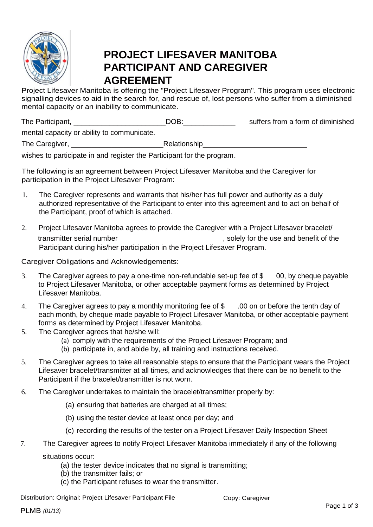

## **PROJECT LIFESAVER MANITOBA PARTICIPANT AND CAREGIVER AGREEMENT**

Project Lifesaver Manitoba is offering the "Project Lifesaver Program". This program uses electronic signalling devices to aid in the search for, and rescue of, lost persons who suffer from a diminished mental capacity or an inability to communicate.

| The Participant, | DOB: | suffers from a form of diminished |
|------------------|------|-----------------------------------|
|                  |      |                                   |

mental capacity or ability to communicate.

The Caregiver, \_\_\_\_\_\_\_\_\_\_\_\_\_\_\_\_\_\_\_\_\_\_\_Relationship\_\_\_\_\_\_\_\_\_\_\_\_\_\_\_\_\_\_\_\_\_\_\_\_\_\_

wishes to participate in and register the Participant for the program.

The following is an agreement between Project Lifesaver Manitoba and the Caregiver for participation in the Project Lifesaver Program:

- 1. The Caregiver represents and warrants that his/her has full power and authority as a duly authorized representative of the Participant to enter into this agreement and to act on behalf of the Participant, proof of which is attached.
- 2. Project Lifesaver Manitoba agrees to provide the Caregiver with a Project Lifesaver bracelet/ transmitter serial number and the state of the use and benefit of the use and benefit of the Participant during his/her participation in the Project Lifesaver Program.

## Caregiver Obligations and Acknowledgements:

- 3. The Caregiver agrees to pay a one-time non-refundable set-up fee of \$ 00, by cheque payable to Project Lifesaver Manitoba, or other acceptable payment forms as determined by Project Lifesaver Manitoba.
- 4. The Caregiver agrees to pay a monthly monitoring fee of \$ .00 on or before the tenth day of each month, by cheque made payable to Project Lifesaver Manitoba, or other acceptable payment forms as determined by Project Lifesaver Manitoba.
- 5. The Caregiver agrees that he/she will:
	- (a) comply with the requirements of the Project Lifesaver Program; and
	- (b) participate in, and abide by, all training and instructions received.
- 5. The Caregiver agrees to take all reasonable steps to ensure that the Participant wears the Project Lifesaver bracelet/transmitter at all times, and acknowledges that there can be no benefit to the Participant if the bracelet/transmitter is not worn.
- 6. The Caregiver undertakes to maintain the bracelet/transmitter properly by:
	- (a) ensuring that batteries are charged at all times;
	- (b) using the tester device at least once per day; and
	- (c) recording the results of the tester on a Project Lifesaver Daily Inspection Sheet
- 7. The Caregiver agrees to notify Project Lifesaver Manitoba immediately if any of the following situations occur:
	- (a) the tester device indicates that no signal is transmitting;
	- (b) the transmitter fails; or
	- (c) the Participant refuses to wear the transmitter.

Distribution: Original: Project Lifesaver Participant File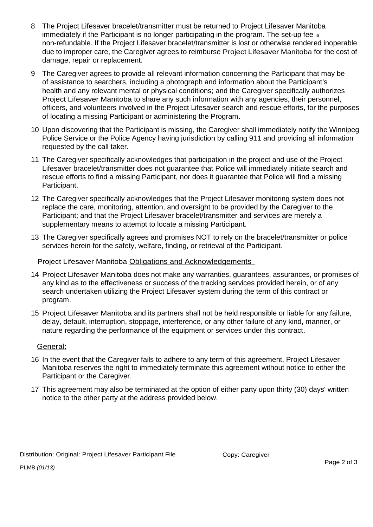- 8 The Project Lifesaver bracelet/transmitter must be returned to Project Lifesaver Manitoba immediately if the Participant is no longer participating in the program. The set-up fee is non-refundable. If the Project Lifesaver bracelet/transmitter is lost or otherwise rendered inoperable due to improper care, the Caregiver agrees to reimburse Project Lifesaver Manitoba for the cost of damage, repair or replacement.
- 9 The Caregiver agrees to provide all relevant information concerning the Participant that may be of assistance to searchers, including a photograph and information about the Participant's health and any relevant mental or physical conditions; and the Caregiver specifically authorizes Project Lifesaver Manitoba to share any such information with any agencies, their personnel, officers, and volunteers involved in the Project Lifesaver search and rescue efforts, for the purposes of locating a missing Participant or administering the Program.
- 10 Upon discovering that the Participant is missing, the Caregiver shall immediately notify the Winnipeg Police Service or the Police Agency having jurisdiction by calling 911 and providing all information requested by the call taker.
- 11 The Caregiver specifically acknowledges that participation in the project and use of the Project Lifesaver bracelet/transmitter does not guarantee that Police will immediately initiate search and rescue efforts to find a missing Participant, nor does it guarantee that Police will find a missing Participant.
- 12 The Caregiver specifically acknowledges that the Project Lifesaver monitoring system does not replace the care, monitoring, attention, and oversight to be provided by the Caregiver to the Participant; and that the Project Lifesaver bracelet/transmitter and services are merely a supplementary means to attempt to locate a missing Participant.
- 13 The Caregiver specifically agrees and promises NOT to rely on the bracelet/transmitter or police services herein for the safety, welfare, finding, or retrieval of the Participant.

Project Lifesaver Manitoba Obligations and Acknowledgements

- 14 Project Lifesaver Manitoba does not make any warranties, guarantees, assurances, or promises of any kind as to the effectiveness or success of the tracking services provided herein, or of any search undertaken utilizing the Project Lifesaver system during the term of this contract or program.
- 15 Project Lifesaver Manitoba and its partners shall not be held responsible or liable for any failure, delay, default, interruption, stoppage, interference, or any other failure of any kind, manner, or nature regarding the performance of the equipment or services under this contract.

## General:

- 16 In the event that the Caregiver fails to adhere to any term of this agreement, Project Lifesaver Manitoba reserves the right to immediately terminate this agreement without notice to either the Participant or the Caregiver.
- 17 This agreement may also be terminated at the option of either party upon thirty (30) days' written notice to the other party at the address provided below.

PLMB *(01/13)*